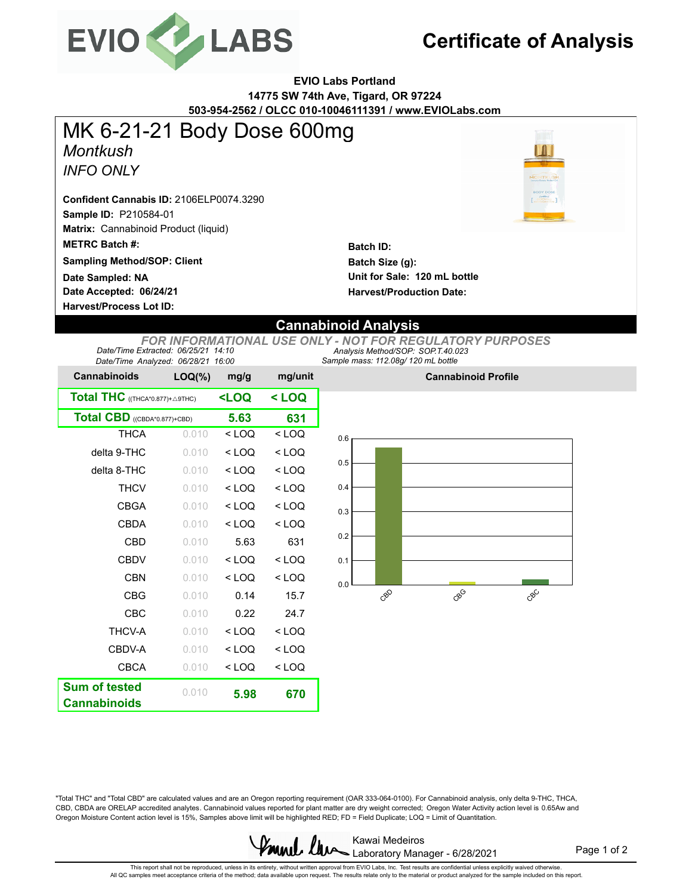

## **Certificate of Analysis**

**EVIO Labs Portland 14775 SW 74th Ave, Tigard, OR 97224 503-954-2562 / OLCC 010-10046111391 / www.EVIOLabs.com**

*Montkush* **Sample ID:** P210584-01 **Matrix:** Cannabinoid Product (liquid) **Date Accepted: 06/24/21 METRC Batch #:**  *INFO ONLY* **Batch ID: Batch Size (g): Harvest/Process Lot ID: Unit for Sale: 120 mL bottle Sampling Method/SOP: Client Harvest/Production Date: Confident Cannabis ID:** 2106ELP0074.3290 MK 6-21-21 Body Dose 600mg **Date Sampled: NA**

## **Cannabinoid Analysis**

*Sample mass: 112.08g/ 120 mL bottle Analysis Method/SOP: SOP.T.40.023 FOR INFORMATIONAL USE ONLY - NOT FOR REGULATORY PURPOSES Date/Time Extracted: 06/25/21 14:10 Date/Time Analyzed: 06/28/21 16:00*

| <b>Cannabinoids</b>                               | $LOQ(\%)$                                        | mg/g    | mg/unit |  |
|---------------------------------------------------|--------------------------------------------------|---------|---------|--|
| <b>Total THC</b> ((THCA*0.877)+ $\triangle$ 9THC) | <loq< th=""><th colspan="2">&lt; LOQ</th></loq<> | < LOQ   |         |  |
| Total CBD ((CBDA*0.877)+CBD)                      | 5.63                                             | 631     |         |  |
| <b>THCA</b>                                       | 0.010                                            | $<$ LOQ | $<$ LOQ |  |
| delta 9-THC                                       | 0.010                                            | $<$ LOQ | $<$ LOQ |  |
| delta 8-THC                                       | 0.010                                            | $<$ LOQ | $<$ LOQ |  |
| <b>THCV</b>                                       | 0.010                                            | $<$ LOQ | $<$ LOQ |  |
| CBGA                                              | 0.010                                            | < 1 OQ  | $<$ LOQ |  |
| CBDA                                              | 0.010                                            | $<$ LOQ | $<$ LOQ |  |
| <b>CBD</b>                                        | 0.010                                            | 5.63    | 631     |  |
| <b>CBDV</b>                                       | 0.010                                            | $<$ LOQ | $<$ LOQ |  |
| <b>CBN</b>                                        | 0.010                                            | $<$ LOQ | $<$ LOQ |  |
| <b>CBG</b>                                        | 0.010                                            | 0.14    | 15.7    |  |
| CBC                                               | 0.010                                            | 0.22    | 24.7    |  |
| THCV-A                                            | 0.010                                            | $<$ LOQ | $<$ LOQ |  |
| CBDV-A                                            | 0.010                                            | $<$ LOQ | $<$ LOQ |  |
| <b>CBCA</b>                                       | 0.010                                            | $<$ LOQ | $<$ LOQ |  |
| <b>Sum of tested</b><br><b>Cannabinoids</b>       | 0.010                                            | 5.98    | 670     |  |



**Cannabinoid Profile**

"Total THC" and "Total CBD" are calculated values and are an Oregon reporting requirement (OAR 333-064-0100). For Cannabinoid analysis, only delta 9-THC, THCA, CBD, CBDA are ORELAP accredited analytes. Cannabinoid values reported for plant matter are dry weight corrected; Oregon Water Activity action level is 0.65Aw and Oregon Moisture Content action level is 15%, Samples above limit will be highlighted RED; FD = Field Duplicate; LOQ = Limit of Quantitation.



Page 1 of 2

This repot shall not be reproduced, unless in its entirety, without written approval from EVIO Labs, Inc. Test results are confidential unless explicitly waived otherwise.<br>All QC samples meet acceptance criteria of the met